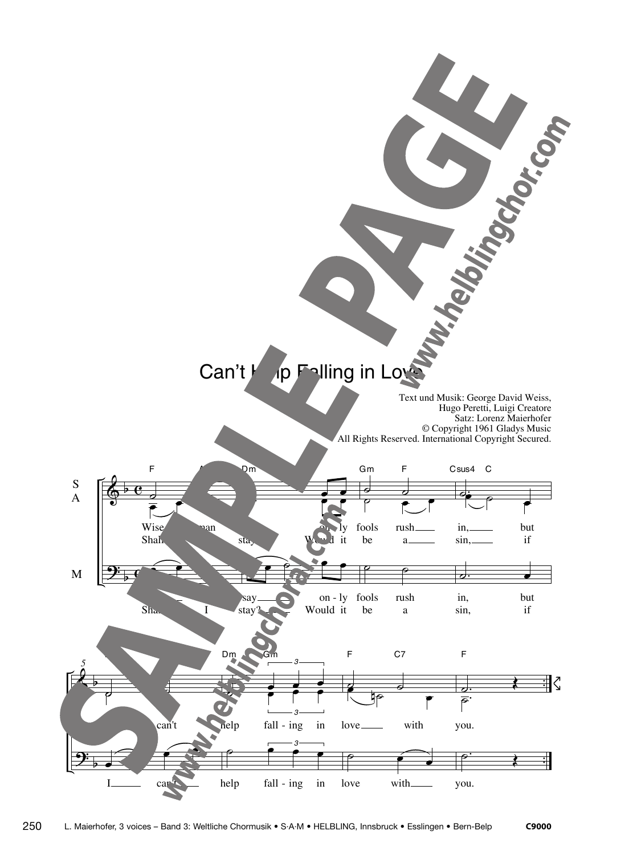